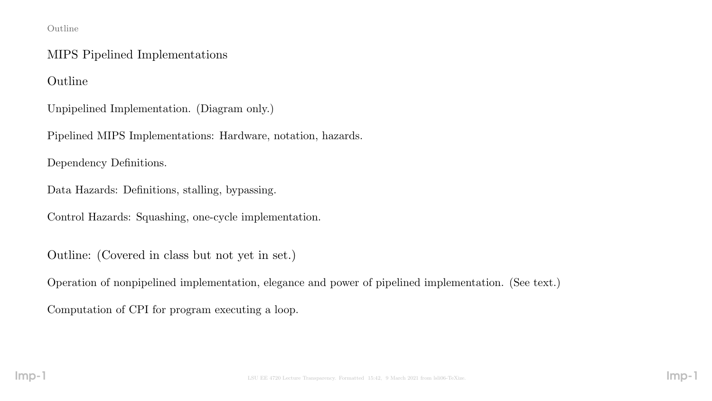#### Outline

### MIPS Pipelined Implementations

Outline

Unpipelined Implementation. (Diagram only.)

Pipelined MIPS Implementations: Hardware, notation, hazards.

Dependency Definitions.

Data Hazards: Definitions, stalling, bypassing.

Control Hazards: Squashing, one-cycle implementation.

Outline: (Covered in class but not yet in set.)

Operation of nonpipelined implementation, elegance and power of pipelined implementation. (See text.)

Computation of CPI for program executing a loop.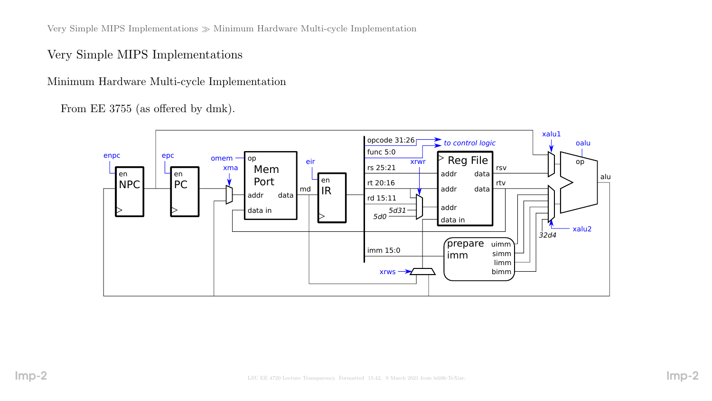Very Simple MIPS Implementations  $\gg$  Minimum Hardware Multi-cycle Implementation

Very Simple MIPS Implementations

Minimum Hardware Multi-cycle Implementation

From EE 3755 (as offered by dmk).

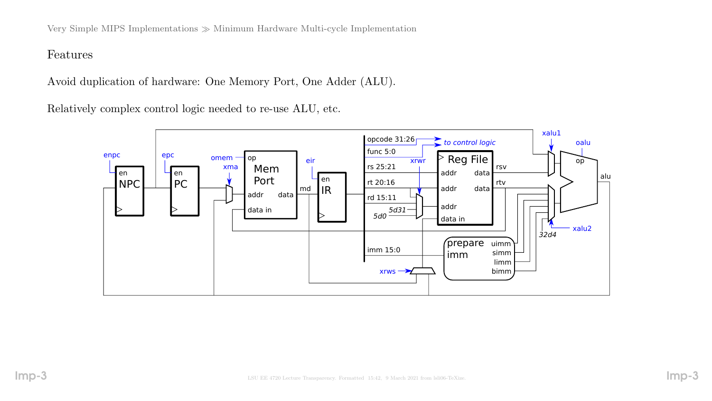Very Simple MIPS Implementations  $\gg$  Minimum Hardware Multi-cycle Implementation

#### Features

Avoid duplication of hardware: One Memory Port, One Adder (ALU).

Relatively complex control logic needed to re-use ALU, etc.

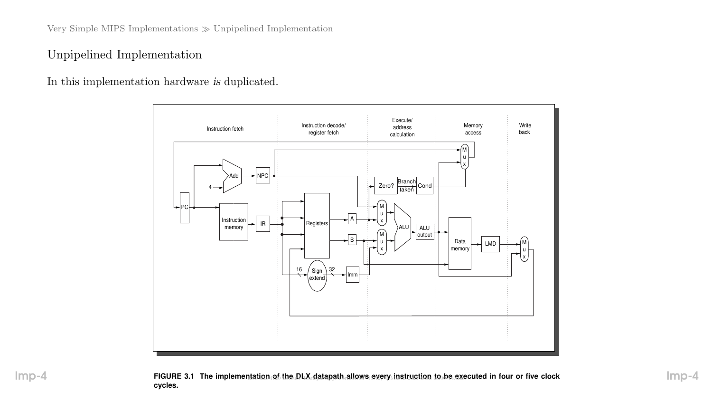Very Simple MIPS Implementations  $\gg$  Unpipelined Implementation

### Unpipelined Implementation

In this implementation hardware is duplicated.

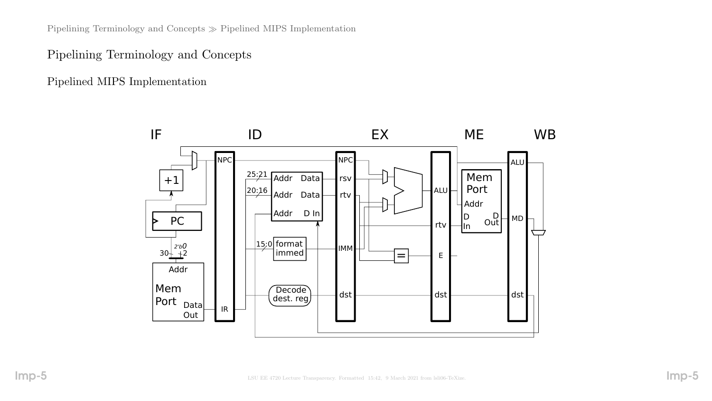Pipelining Terminology and Concepts  $\gg$  Pipelined MIPS Implementation

### Pipelining Terminology and Concepts

Pipelined MIPS Implementation

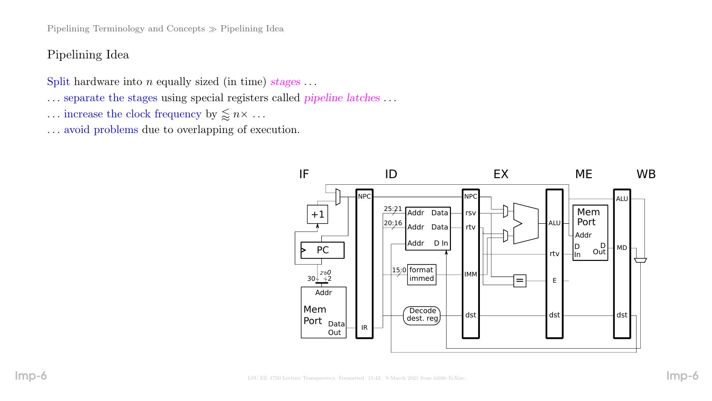Pipelining Terminology and Concepts  $\gg$  Pipelining Idea

# Pipelining Idea

Split hardware into  $n$  equally sized (in time) stages ...

- . . . separate the stages using special registers called pipeline latches . . .
- $\ldots$  increase the clock frequency by  $\lessapprox n \times \ldots$
- . . . avoid problems due to overlapping of execution.

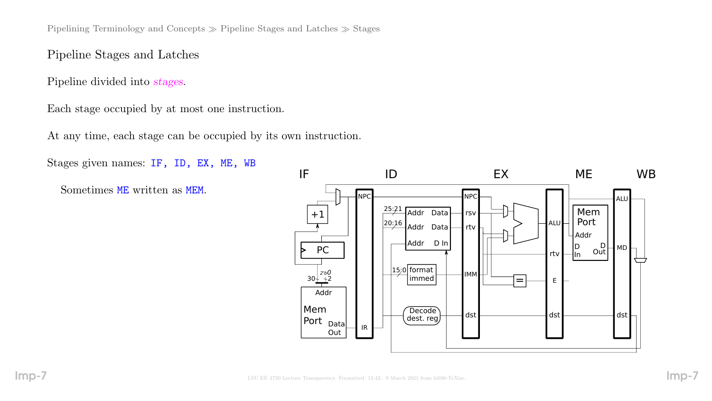Pipelining Terminology and Concepts  $\gg$  Pipeline Stages and Latches  $\gg$  Stages

### Pipeline Stages and Latches

Pipeline divided into stages.

Each stage occupied by at most one instruction.

At any time, each stage can be occupied by its own instruction.

Stages given names: IF, ID, EX, ME, WB Sometimes ME written as MEM. IR  $25:21$  Addr Data  $\frac{20:16}{ }$  Addr Data $\begin{array}{|c|c|c|c|c|}\hline \end{array}$ rtv $\begin{array}{|c|c|c|c|}\hline \end{array}$   $\begin{array}{|c|c|c|c|}\hline \end{array}$   $\begin{array}{|c|c|c|c|}\hline \end{array}$ IF ID EX ME WB rsv rtv IMM NPC Addr D In +1 Mem Port Addr Data Out Addr D  $\mathsf{I}$ In Mem Port rtv  $\Box$ in Out  $\overline{Decode}$  dst dst dst dst dst dest. reg NPC  $30 + \frac{2 b}{1}$ PC 15:0 2'b0 format dst dst E  $\frac{1}{\sqrt{1-\frac{1}{2}}}\sqrt{1-\frac{1}{2}}$ 

ALU

 $-$  MD  $-$ 

D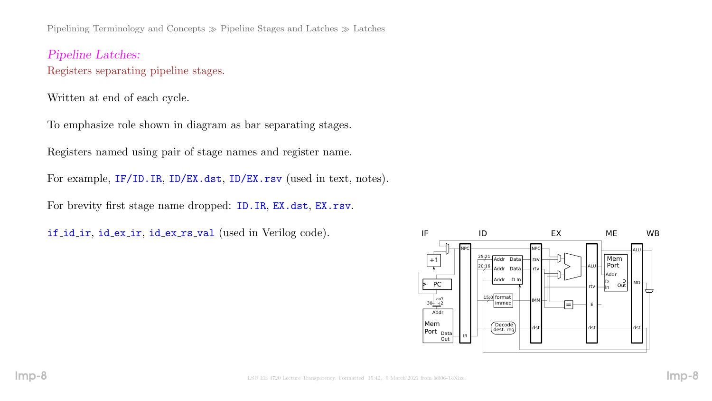Pipelining Terminology and Concepts  $\gg$  Pipeline Stages and Latches  $\gg$  Latches

Pipeline Latches: Registers separating pipeline stages.

Written at end of each cycle.

To emphasize role shown in diagram as bar separating stages.

Registers named using pair of stage names and register name.

For example, IF/ID.IR, ID/EX.dst, ID/EX.rsv (used in text, notes).

For brevity first stage name dropped: ID.IR, EX.dst, EX.rsv.

if id ir, id ex ir, id ex rs val (used in Verilog code).

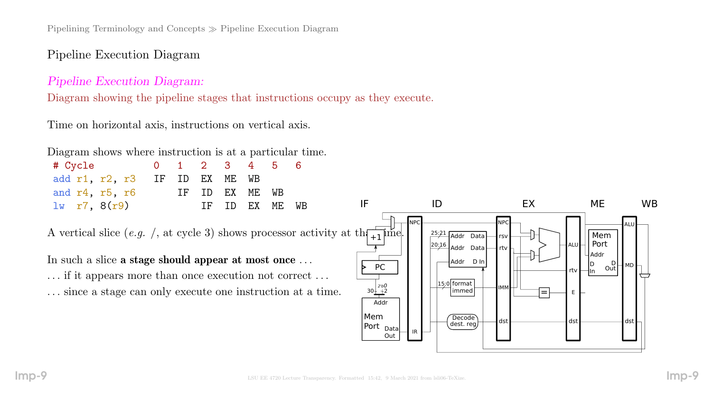Pipelining Terminology and Concepts Pipeline Execution Diagram

## Pipeline Execution Diagram

### Pipeline Execution Diagram:

Diagram showing the pipeline stages that instructions occupy as they execute.

Time on horizontal axis, instructions on vertical axis.

|  | Diagram shows where instruction is at a particular time. |  |  |  |
|--|----------------------------------------------------------|--|--|--|
|  |                                                          |  |  |  |

| # Cycle                                                                                                                                                                                                                                                            |    |    | $\overline{2}$ | 3  | 4  |    | 6  |                                      |                                                                                        |                                                     |                                   |           |
|--------------------------------------------------------------------------------------------------------------------------------------------------------------------------------------------------------------------------------------------------------------------|----|----|----------------|----|----|----|----|--------------------------------------|----------------------------------------------------------------------------------------|-----------------------------------------------------|-----------------------------------|-----------|
| add r1, r2, r3                                                                                                                                                                                                                                                     | IF | ID | ΕX             | ME | WB |    |    |                                      |                                                                                        |                                                     |                                   |           |
| and r4, r5, r6                                                                                                                                                                                                                                                     |    | IF | ID             | EX | ME | WB |    |                                      |                                                                                        |                                                     |                                   |           |
| $lw$ r7, $8(r9)$                                                                                                                                                                                                                                                   |    |    | ΙF             | ID | EX | ME | WB | IF                                   | ID                                                                                     | EX                                                  | <b>ME</b>                         | <b>WB</b> |
| A vertical slice (e.g. /, at cycle 3) shows processor activity at th $\frac{1}{1+1}$ ime.<br>In such a slice a stage should appear at most once<br>if it appears more than once execution not correct<br>since a stage can only execute one instruction at a time. |    |    |                |    |    |    |    | <b>PC</b><br>$30^{2b0}_{+2}$<br>Addr | - INPO<br>$25:21$ Addr Data<br>$20:16$ Addr Data<br>Addr D In<br>l5;0  format<br>immed | <b>NPC</b><br>rsv l<br>l All<br>rtv l<br><b>IMM</b> | Mem<br>Port<br>Addr<br>Out<br>Out |           |
|                                                                                                                                                                                                                                                                    |    |    |                |    |    |    |    | Mem                                  | Decode<br>doct ron                                                                     | dst                                                 |                                   | dst       |

IR

dest. reg

Port <sub>Data</sub>

Out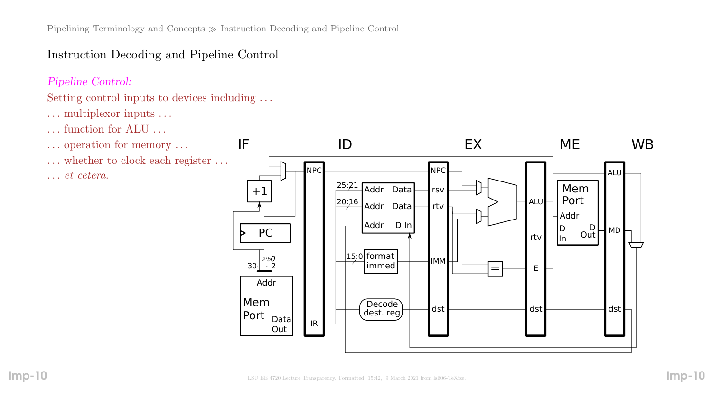# Instruction Decoding and Pipeline Control

### Pipeline Control:

## Setting control inputs to devices including . . .

- . . . multiplexor inputs . . .
- . . . function for ALU . . .
- . . . operation for memory . . .
- . . . whether to clock each register . . . . . . et cetera.

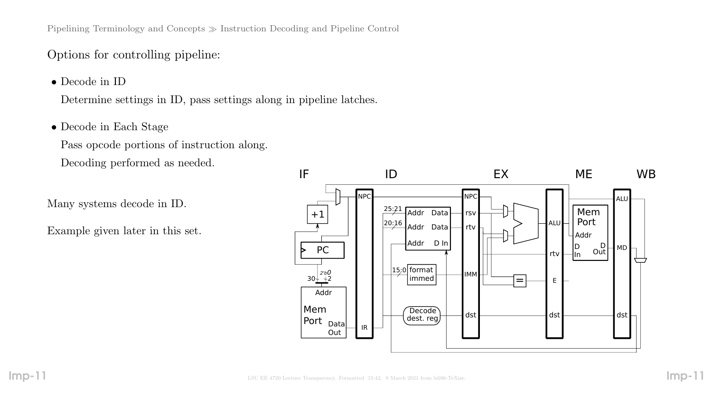Pipelining Terminology and Concepts Instruction Decoding and Pipeline Control

### Options for controlling pipeline:

• Decode in ID

Determine settings in ID, pass settings along in pipeline latches.

• Decode in Each Stage

Pass opcode portions of instruction along. Decoding performed as needed.

Many systems decode in ID.

Example given later in this set.

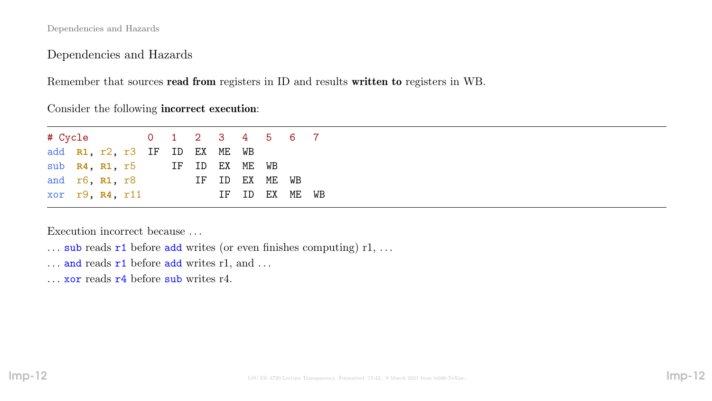Dependencies and Hazards

Dependencies and Hazards

Remember that sources read from registers in ID and results written to registers in WB.

Consider the following incorrect execution:

| # Cycle 0 1 2 3 4 5 6 7       |  |  |  |                |  |                |  |
|-------------------------------|--|--|--|----------------|--|----------------|--|
| add R1, r2, r3 IF ID EX ME WB |  |  |  |                |  |                |  |
| sub R4, R1, r5 IF ID EX ME WB |  |  |  |                |  |                |  |
| and r6, R1, r8                |  |  |  | IF ID EX ME WB |  |                |  |
| xor r9, R4, r11               |  |  |  |                |  | IF ID EX ME WB |  |

Execution incorrect because . . .

- ... sub reads  $r1$  before add writes (or even finishes computing)  $r1, \ldots$
- $\ldots$  and reads  $r1$  before add writes r1, and  $\ldots$
- ... **xor** reads **r**4 before sub writes r4.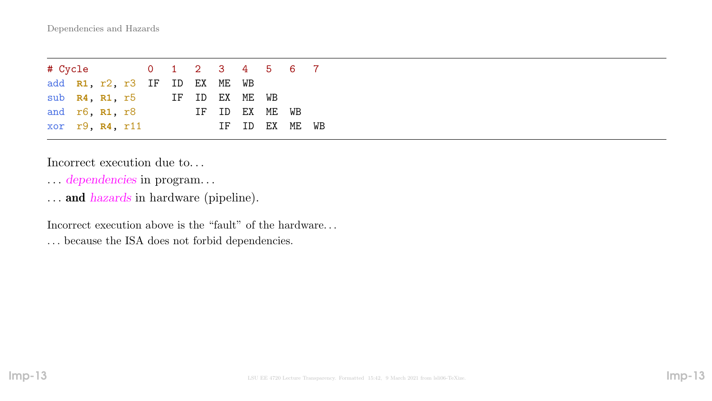| # Cycle 0 1 2 3 4 5 6 7       |  |  |  |                |  |                |  |
|-------------------------------|--|--|--|----------------|--|----------------|--|
| add R1, r2, r3 IF ID EX ME WB |  |  |  |                |  |                |  |
| sub $R4$ , $R1$ , $r5$        |  |  |  | IF ID EX ME WB |  |                |  |
| and r6, R1, r8                |  |  |  | IF ID EX ME WB |  |                |  |
| $xor$ r9, $R4$ , r11          |  |  |  |                |  | IF ID EX ME WB |  |

Incorrect execution due to. . .

- . . . dependencies in program. . .
- ... and *hazards* in hardware (pipeline).

Incorrect execution above is the "fault" of the hardware. . . . . . because the ISA does not forbid dependencies.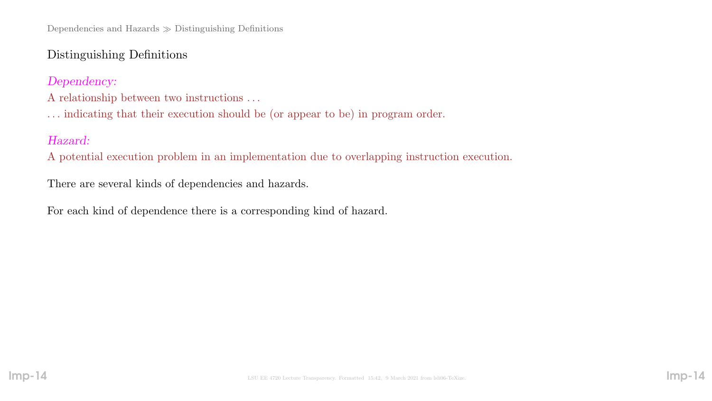# Distinguishing Definitions

Dependency:

- A relationship between two instructions . . .
- . . . indicating that their execution should be (or appear to be) in program order.

# Hazard:

A potential execution problem in an implementation due to overlapping instruction execution.

There are several kinds of dependencies and hazards.

For each kind of dependence there is a corresponding kind of hazard.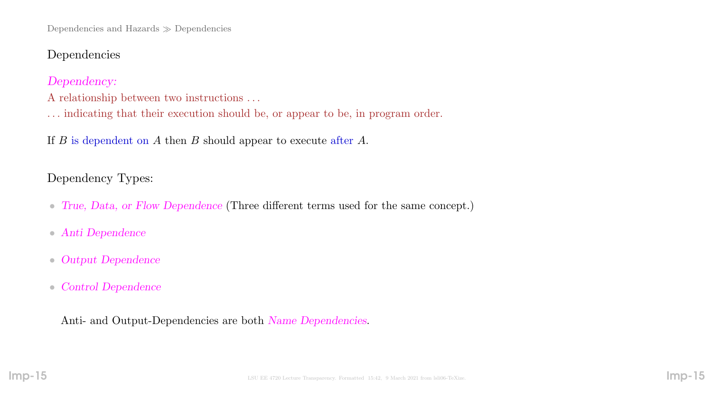Dependencies and Hazards  $\gg$  Dependencies

### Dependencies

Dependency:

A relationship between two instructions . . .

. . . indicating that their execution should be, or appear to be, in program order.

If  $B$  is dependent on  $A$  then  $B$  should appear to execute after  $A$ .

Dependency Types:

- True, Data, or Flow Dependence (Three different terms used for the same concept.)
- Anti Dependence
- Output Dependence
- Control Dependence

Anti- and Output-Dependencies are both Name Dependencies.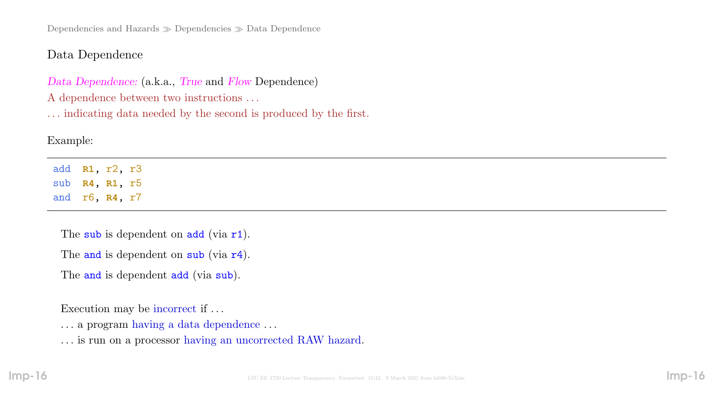Dependencies and Hazards  $\gg$  Dependencies  $\gg$  Data Dependence

## Data Dependence

Data Dependence: (a.k.a., True and Flow Dependence) A dependence between two instructions . . .

. . . indicating data needed by the second is produced by the first.

## Example:

add **R1**, r2, r3 sub **R4**, **R1**, r5 and r6, **R4**, r7

The sub is dependent on  $add$  (via  $r1$ ).

The and is dependent on sub (via r4).

The and is dependent add (via sub).

Execution may be incorrect if . . .

. . . a program having a data dependence . . .

. . . is run on a processor having an uncorrected RAW hazard.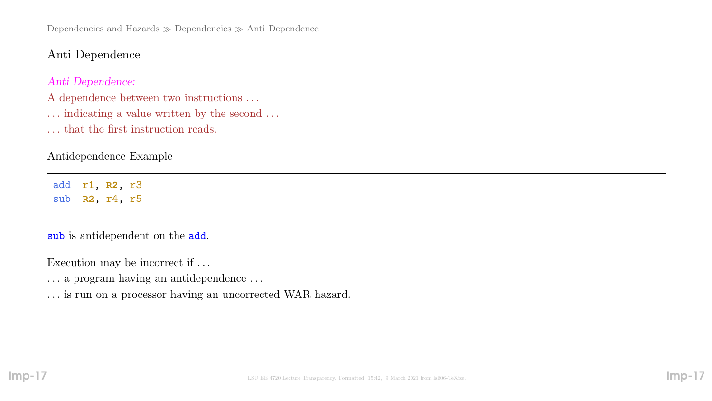Dependencies and Hazards  $\gg$  Dependencies  $\gg$  Anti Dependence

### Anti Dependence

#### Anti Dependence:

A dependence between two instructions . . .

- $\ldots$  indicating a value written by the second  $\ldots$
- . . . that the first instruction reads.

#### Antidependence Example

add r1, **R2**, r3 sub **R2**, r4, r5

#### sub is antidependent on the add.

Execution may be incorrect if . . .

- . . . a program having an antidependence . . .
- . . . is run on a processor having an uncorrected WAR hazard.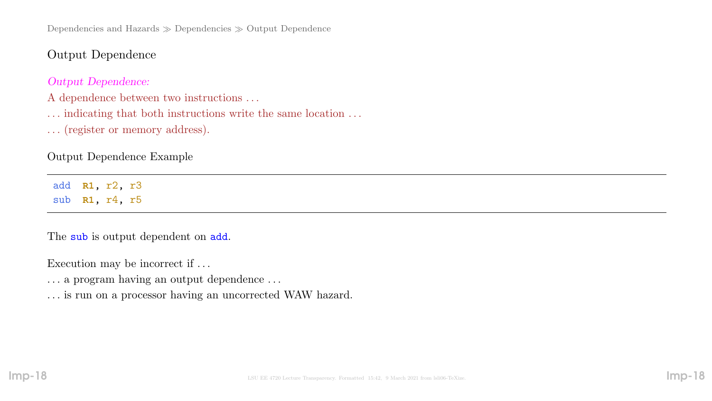Dependencies and Hazards  $\gg$  Dependencies  $\gg$  Output Dependence

Output Dependence

Output Dependence:

A dependence between two instructions . . .

 $\ldots$  indicating that both instructions write the same location  $\ldots$ 

. . . (register or memory address).

Output Dependence Example

add **R1**, r2, r3 sub **R1**, r4, r5

The sub is output dependent on add.

Execution may be incorrect if . . .

. . . a program having an output dependence . . .

. . . is run on a processor having an uncorrected WAW hazard.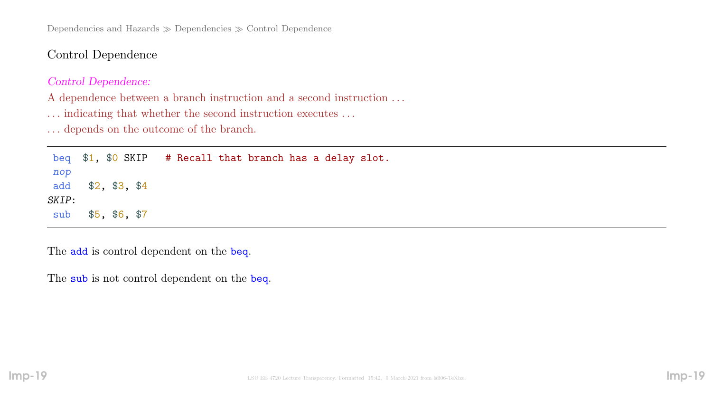Dependencies and Hazards  $\gg$  Dependencies  $\gg$  Control Dependence

Control Dependence

#### Control Dependence:

A dependence between a branch instruction and a second instruction . . .

 $\ldots$  indicating that whether the second instruction executes  $\ldots$ 

. . . depends on the outcome of the branch.

beq \$1, \$0 SKIP # Recall that branch has a delay slot. nop add \$2, \$3, \$4 SKIP: sub \$5, \$6, \$7

The **add** is control dependent on the **beq**.

The sub is not control dependent on the beq.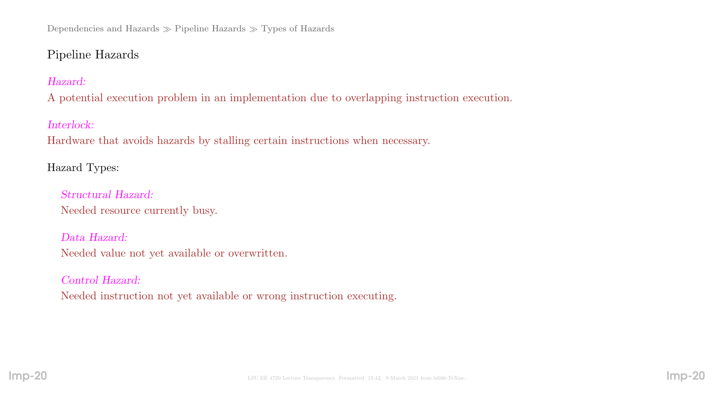# Pipeline Hazards

# Hazard:

A potential execution problem in an implementation due to overlapping instruction execution.

# Interlock:

Hardware that avoids hazards by stalling certain instructions when necessary.

# Hazard Types:

Structural Hazard: Needed resource currently busy.

# Data Hazard:

Needed value not yet available or overwritten.

## Control Hazard:

Needed instruction not yet available or wrong instruction executing.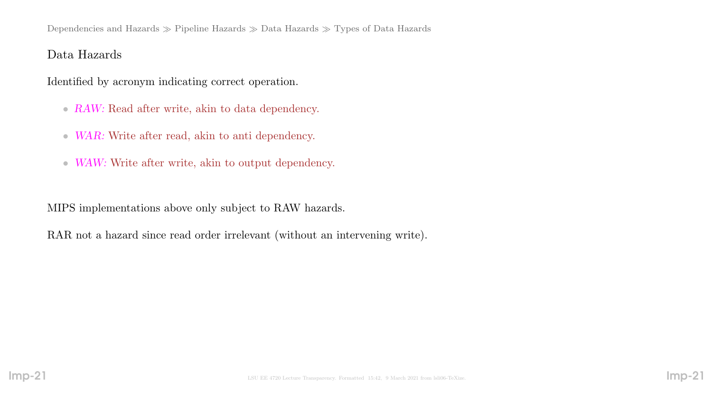### Data Hazards

Identified by acronym indicating correct operation.

- RAW: Read after write, akin to data dependency.
- WAR: Write after read, akin to anti dependency.
- WAW: Write after write, akin to output dependency.

MIPS implementations above only subject to RAW hazards.

RAR not a hazard since read order irrelevant (without an intervening write).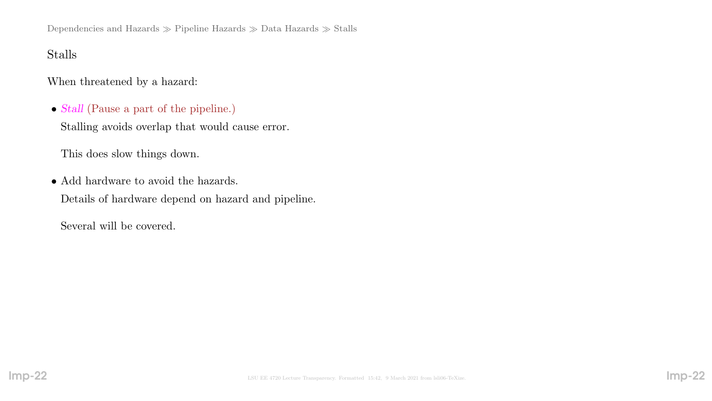Dependencies and Hazards  $\gg$  Pipeline Hazards  $\gg$  Data Hazards  $\gg$  Stalls

# Stalls

When threatened by a hazard:

• Stall (Pause a part of the pipeline.)

Stalling avoids overlap that would cause error.

This does slow things down.

• Add hardware to avoid the hazards. Details of hardware depend on hazard and pipeline.

Several will be covered.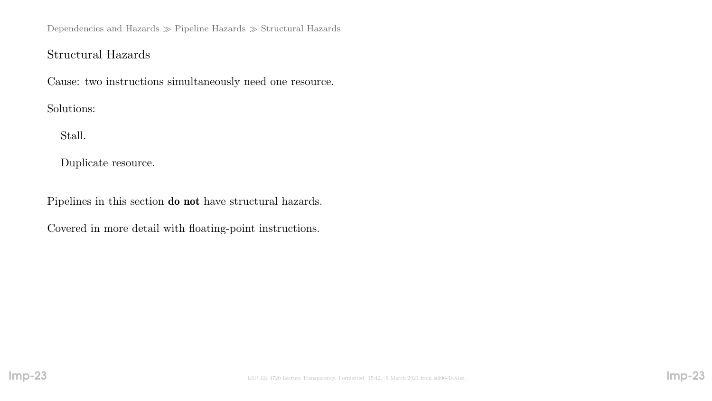Dependencies and Hazards  $\gg$  Pipeline Hazards  $\gg$  Structural Hazards

# Structural Hazards

Cause: two instructions simultaneously need one resource.

Solutions:

Stall.

Duplicate resource.

Pipelines in this section do not have structural hazards.

Covered in more detail with floating-point instructions.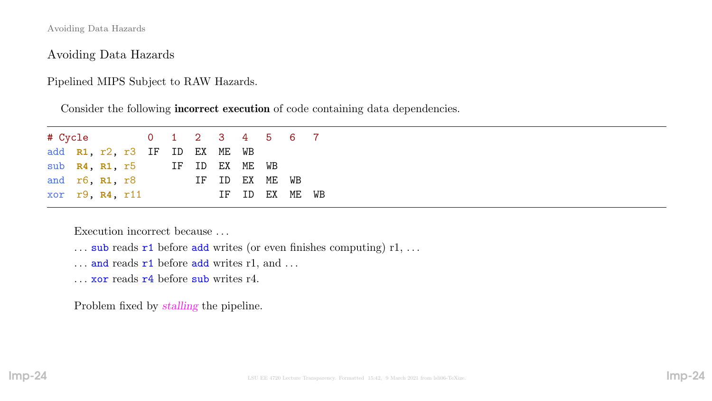Avoiding Data Hazards

Avoiding Data Hazards

Pipelined MIPS Subject to RAW Hazards.

Consider the following incorrect execution of code containing data dependencies.

| # Cycle 0 1 2 3 4 5 6 7       |  |  |  |                |  |                |  |
|-------------------------------|--|--|--|----------------|--|----------------|--|
| add R1, r2, r3 IF ID EX ME WB |  |  |  |                |  |                |  |
| sub R4, R1, r5 IF ID EX ME WB |  |  |  |                |  |                |  |
| and r6, R1, r8                |  |  |  | IF ID EX ME WB |  |                |  |
| xor r9, R4, r11               |  |  |  |                |  | IF ID EX ME WB |  |

Execution incorrect because . . .

- $\ldots$  sub reads r1 before add writes (or even finishes computing) r1,  $\ldots$
- $\ldots$  and reads  $r1$  before add writes r1, and  $\ldots$
- . . . xor reads r4 before sub writes r4.

Problem fixed by stalling the pipeline.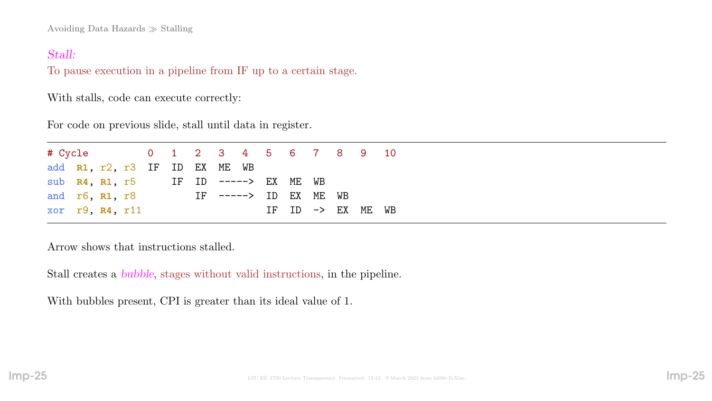Avoiding Data Hazards  $\gg$  Stalling

### Stall:

To pause execution in a pipeline from IF up to a certain stage.

With stalls, code can execute correctly:

For code on previous slide, stall until data in register.

| # Cycle 0 1 2 3 4 5 6 7 8 9 10               |  |  |  |  |                       |  |  |                              |  |
|----------------------------------------------|--|--|--|--|-----------------------|--|--|------------------------------|--|
| add R1, r2, r3 IF ID EX ME WB                |  |  |  |  |                       |  |  |                              |  |
| sub $R4$ , $R1$ , $r5$ IF ID -----> EX ME WB |  |  |  |  |                       |  |  |                              |  |
| and r6, R1, r8                               |  |  |  |  | IF -----> ID EX ME WB |  |  |                              |  |
| xor $r9$ , $R4$ , $r11$                      |  |  |  |  |                       |  |  | IF ID $\rightarrow$ EX ME WB |  |

Arrow shows that instructions stalled.

Stall creates a bubble, stages without valid instructions, in the pipeline.

With bubbles present, CPI is greater than its ideal value of 1.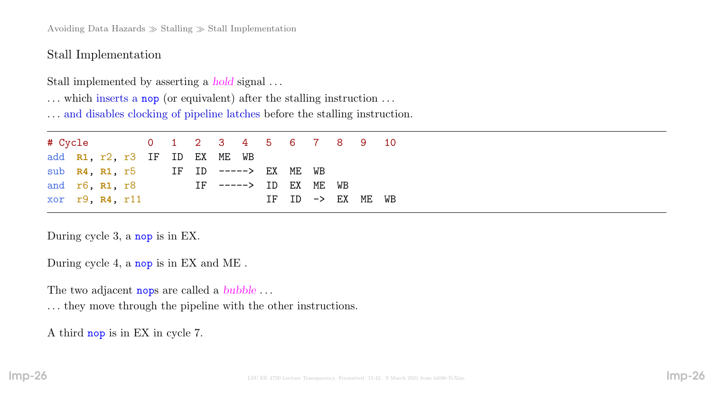Avoiding Data Hazards  $\gg$  Stalling  $\gg$  Stall Implementation

Stall Implementation

Stall implemented by asserting a hold signal . . .

... which inserts a nop (or equivalent) after the stalling instruction ...

. . . and disables clocking of pipeline latches before the stalling instruction.

# Cycle 0 1 2 3 4 5 6 7 8 9 10 add **R1**, r2, r3 IF ID EX ME WB sub **R4**, **R1**, r5 IF ID -----> EX ME WB and r6, **R1**, r8 IF -----> ID EX ME WB xor r9, R4, r11 IF ID -> EX ME WB

During cycle 3, a nop is in EX.

During cycle 4, a nop is in EX and ME .

The two adjacent nops are called a *bubble* ...

. . . they move through the pipeline with the other instructions.

A third nop is in EX in cycle 7.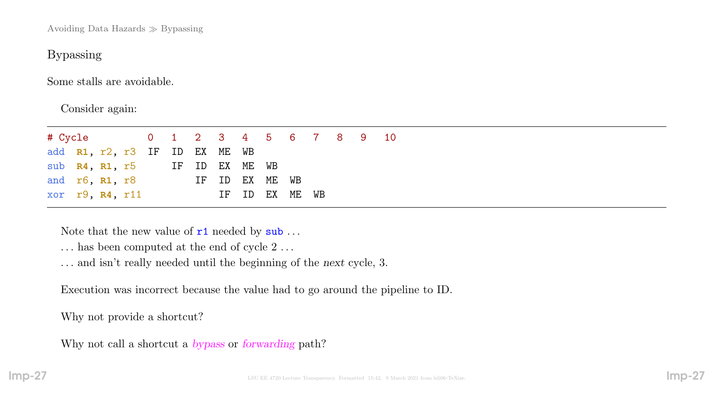Avoiding Data Hazards  $\gg$  Bypassing

## Bypassing

Some stalls are avoidable.

Consider again:

| # Cycle 0 1 2 3 4 5 6 7 8 9 10 |  |  |  |                |  |  |  |
|--------------------------------|--|--|--|----------------|--|--|--|
| add R1, r2, r3 IF ID EX ME WB  |  |  |  |                |  |  |  |
| sub R4, R1, r5 IF ID EX ME WB  |  |  |  |                |  |  |  |
| and $r6$ , $R1$ , $r8$         |  |  |  | IF ID EX ME WB |  |  |  |
| xor r9, R4, r11                |  |  |  | IF ID EX ME WB |  |  |  |

Note that the new value of  $r1$  needed by  $\textsf{sub} \dots$ 

- $\ldots$  has been computed at the end of cycle  $2\,\ldots$
- . . . and isn't really needed until the beginning of the next cycle, 3.

Execution was incorrect because the value had to go around the pipeline to ID.

Why not provide a shortcut?

Why not call a shortcut a bypass or forwarding path?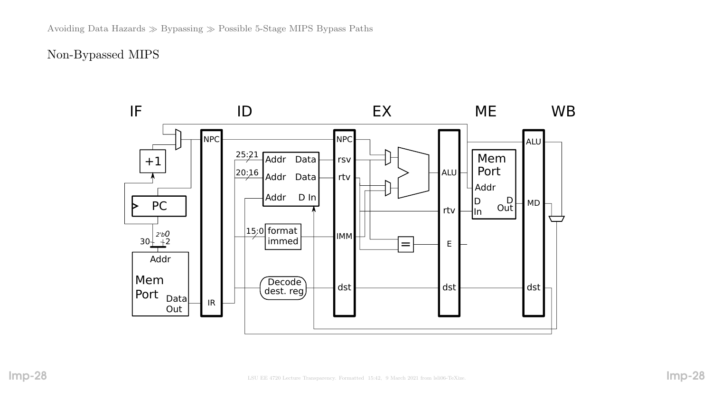# Non-Bypassed MIPS

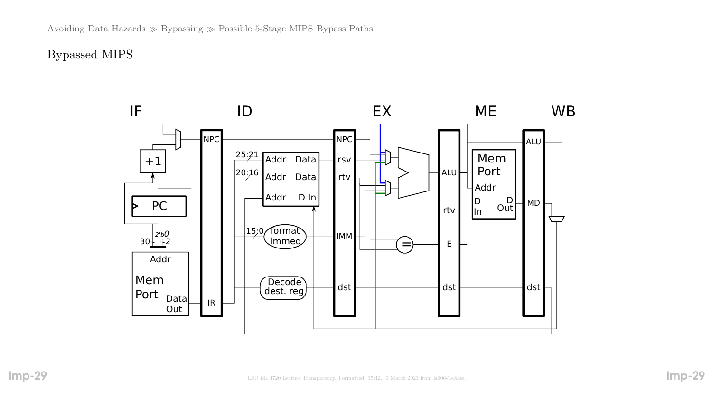Bypassed MIPS

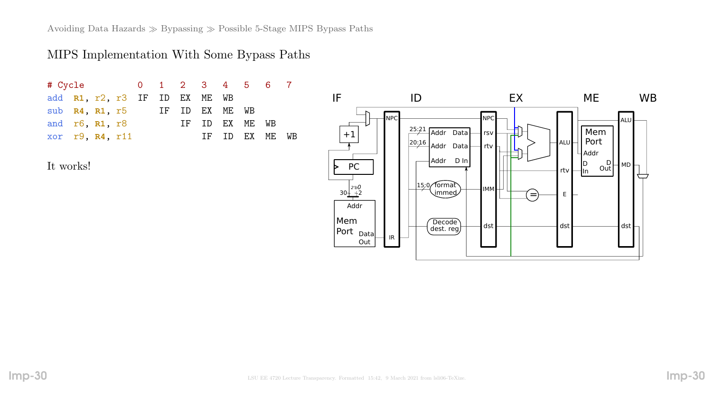Avoiding Data Hazards  $\gg$  Bypassing  $\gg$  Possible 5-Stage MIPS Bypass Paths

### MIPS Implementation With Some Bypass Paths

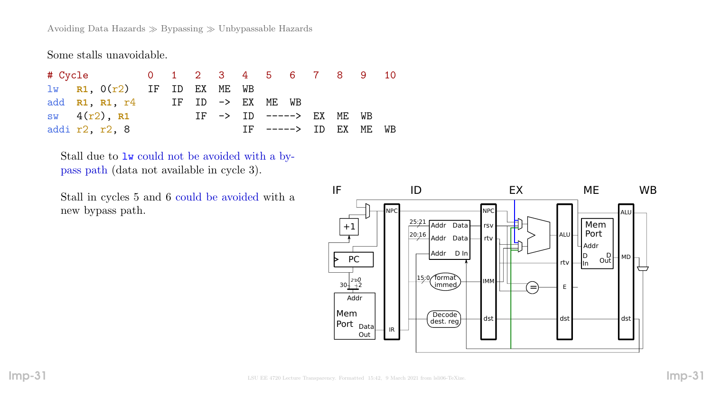Avoiding Data Hazards  $\gg$  Bypassing  $\gg$  Unbypassable Hazards

Some stalls unavoidable.

# Cycle 0 1 2 3 4 5 6 7 8 9 10 lw **R1**, 0(r2) IF ID EX ME WB add **R1**, **R1**, r4 IF ID -> EX ME WB sw 4(r2), R1 IF -> ID -----> EX ME WB addi r2, r2, 8 1F -----> ID EX ME WB

Stall due to lw could not be avoided with a bypass path (data not available in cycle 3).

Stall in cycles 5 and 6 could be avoided with a new bypass path.

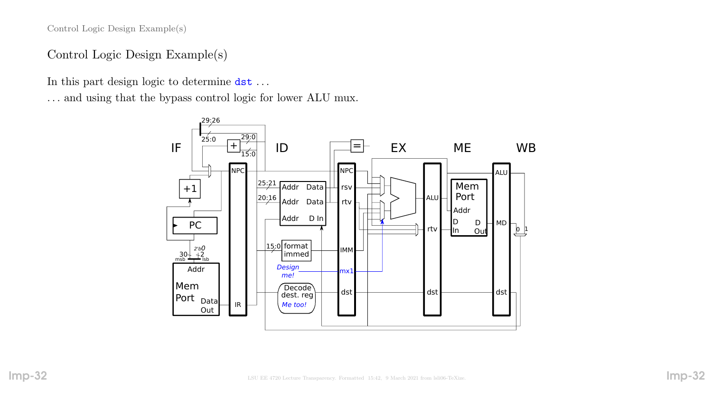Control Logic Design Example(s)

# Control Logic Design Example(s)

In this part design logic to determine dst . . .

. . . and using that the bypass control logic for lower ALU mux.

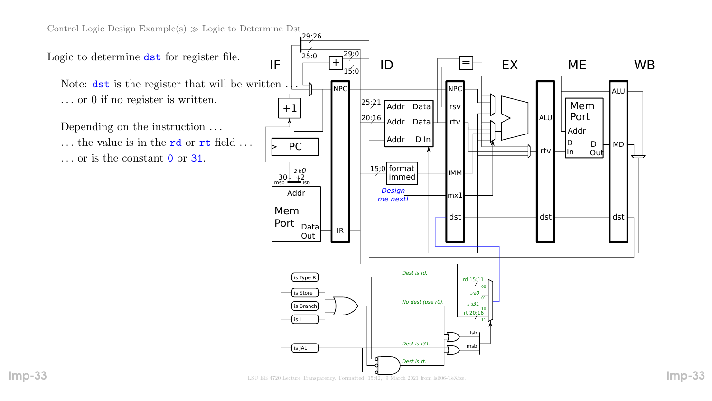Control Logic Design Example(s)  $\gg$  Logic to Determine Dst

Logic to determine dst for register file.

Note:  $\det$  is the register that will be written. . . . or 0 if no register is written.

Depending on the instruction . . . ... the value is in the **rd** or **rt** field ... . . . or is the constant 0 or 31.

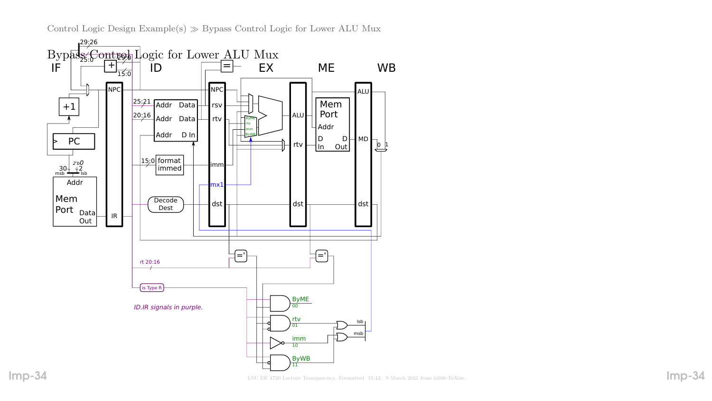Control Logic Design Example(s)  $\gg$  Bypass Control Logic for Lower ALU Mux



Imp-34 LSU EE 4720 Lecture Transparency. Formatted 15:42, 9 March 2021 from lsli06-TeXize.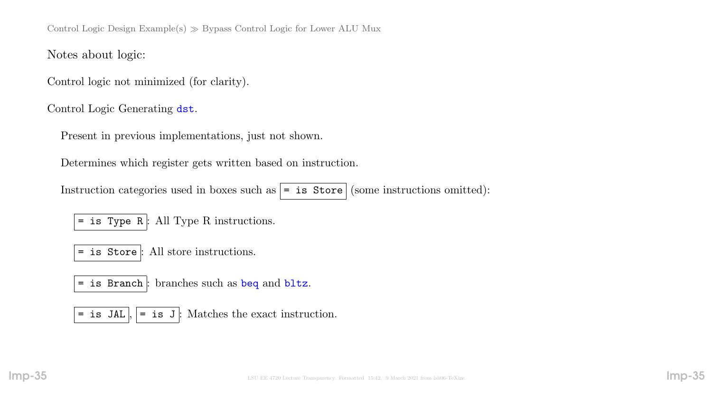Control Logic Design Example(s)  $\gg$  Bypass Control Logic for Lower ALU Mux

Notes about logic:

Control logic not minimized (for clarity).

Control Logic Generating dst.

Present in previous implementations, just not shown.

Determines which register gets written based on instruction.

Instruction categories used in boxes such as  $| =$  is Store (some instructions omitted):

 $=$  is Type R  $:$  All Type R instructions.

= is Store : All store instructions.

= is Branch : branches such as beq and bltz.

= is JAL  $\vert \cdot \vert$  = is J : Matches the exact instruction.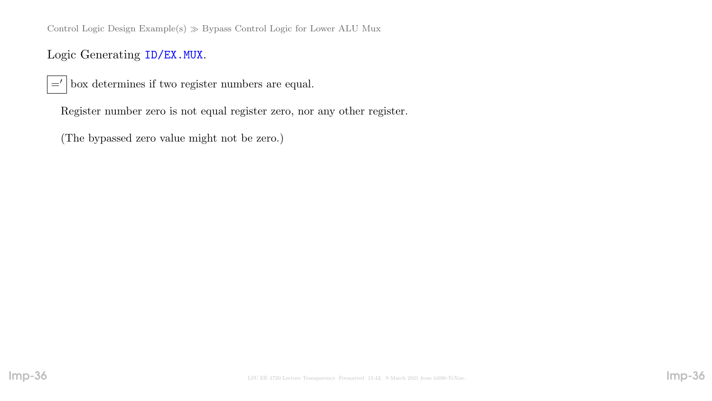Control Logic Design Example(s)  $\gg$  Bypass Control Logic for Lower ALU Mux

Logic Generating ID/EX.MUX.

 $=$ ' box determines if two register numbers are equal.

Register number zero is not equal register zero, nor any other register.

(The bypassed zero value might not be zero.)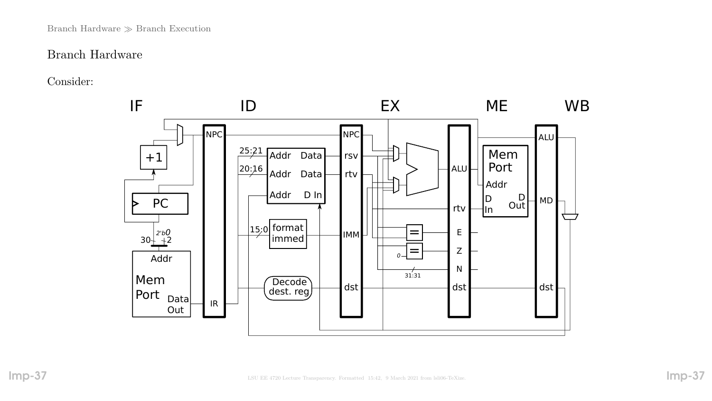#### Branch Hardware  $\gg$  Branch Execution

### Branch Hardware

Consider:

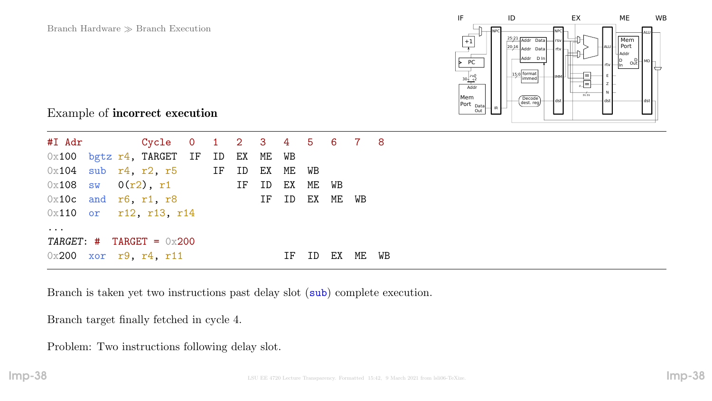

### Example of incorrect execution

|                        |  | $0x100$ bgtz $r4$ , TARGET IF ID EX ME WB     |  |  |    |    |    |       |  |
|------------------------|--|-----------------------------------------------|--|--|----|----|----|-------|--|
|                        |  | $0x104$ sub $r4$ , $r2$ , $r5$ IF ID EX ME WB |  |  |    |    |    |       |  |
|                        |  | $0 \times 108$ sw $0(r2)$ , r1 IF ID EX ME WB |  |  |    |    |    |       |  |
| $0x10c$ and r6, r1, r8 |  |                                               |  |  |    |    |    | WB    |  |
|                        |  | $0x110$ or r12, r13, r14                      |  |  |    |    |    |       |  |
| $\ddot{\phantom{0}}$   |  |                                               |  |  |    |    |    |       |  |
|                        |  | TARGET: # TARGET = $0x200$                    |  |  |    |    |    |       |  |
|                        |  | $0x200$ xor r9, r4, r11                       |  |  | ΙF | ID | EX | ME WB |  |

Branch is taken yet two instructions past delay slot (sub) complete execution.

Branch target finally fetched in cycle 4.

Problem: Two instructions following delay slot.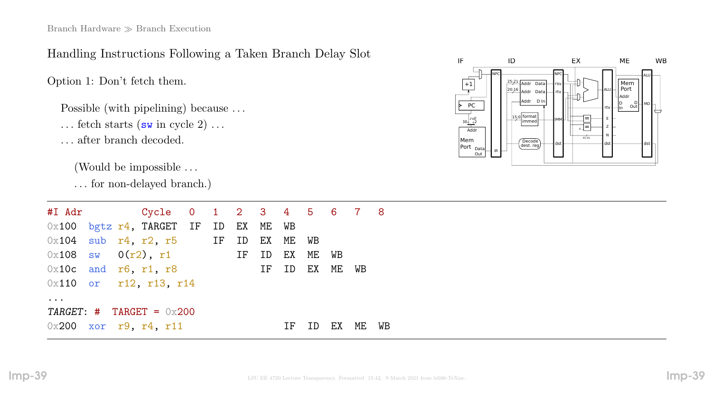# Handling Instructions Following a Taken Branch Delay Slot

Option 1: Don't fetch them.

Possible (with pipelining) because ...

... fetch starts  $(\mathbf{sw}\text{ in cycle }2)$  ...

. . . after branch decoded.

(Would be impossible . . .

. . . for non-delayed branch.)

|                                   |                        | $0x100$ bgtz $r4$ , TARGET IF ID EX ME WB     |  |    |    |    |           |             |    |    |
|-----------------------------------|------------------------|-----------------------------------------------|--|----|----|----|-----------|-------------|----|----|
|                                   |                        | $0x104$ sub $r4$ , $r2$ , $r5$ IF ID EX ME WB |  |    |    |    |           |             |    |    |
|                                   |                        | $0x108$ sw $0(r2)$ , r1                       |  | IF | ID | EX | ME WB     |             |    |    |
|                                   | $0x10c$ and r6, r1, r8 |                                               |  |    | IF |    |           | ID EX ME WB |    |    |
|                                   |                        | 0x110 or r12, r13, r14                        |  |    |    |    |           |             |    |    |
| $\bullet\quad\bullet\quad\bullet$ |                        |                                               |  |    |    |    |           |             |    |    |
|                                   |                        | TARGET: $\#$ TARGET = 0x200                   |  |    |    |    |           |             |    |    |
|                                   |                        | $0x200$ xor r9, r4, r11                       |  |    |    | ΙF | <b>ID</b> | EX          | ME | WB |

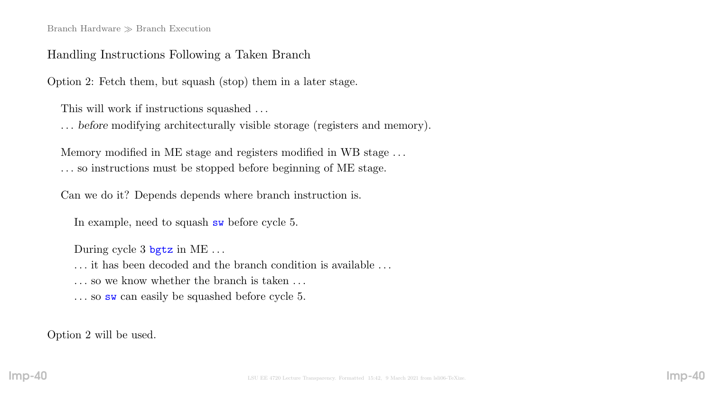#### Branch Hardware  $\gg$  Branch Execution

#### Handling Instructions Following a Taken Branch

Option 2: Fetch them, but squash (stop) them in a later stage.

This will work if instructions squashed . . .

. . . before modifying architecturally visible storage (registers and memory).

Memory modified in ME stage and registers modified in WB stage . . . . . . so instructions must be stopped before beginning of ME stage.

Can we do it? Depends depends where branch instruction is.

In example, need to squash sw before cycle 5.

During cycle 3 bgtz in ME ...

. . . it has been decoded and the branch condition is available . . .

... so we know whether the branch is taken ...

... so sw can easily be squashed before cycle 5.

Option 2 will be used.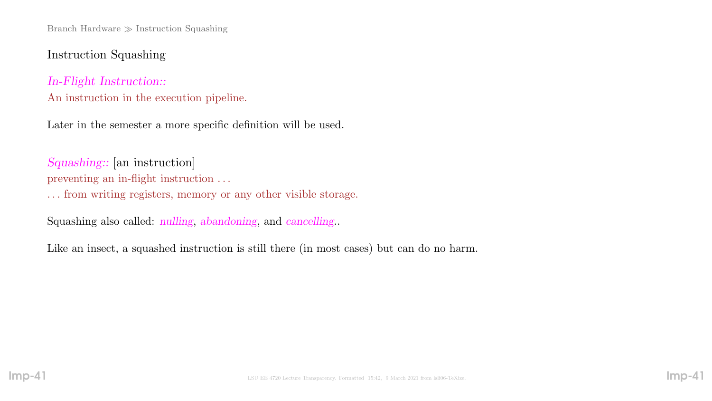# Instruction Squashing

# In-Flight Instruction:: An instruction in the execution pipeline.

Later in the semester a more specific definition will be used.

Squashing:: [an instruction] preventing an in-flight instruction . . .

. . . from writing registers, memory or any other visible storage.

Squashing also called: nulling, abandoning, and cancelling..

Like an insect, a squashed instruction is still there (in most cases) but can do no harm.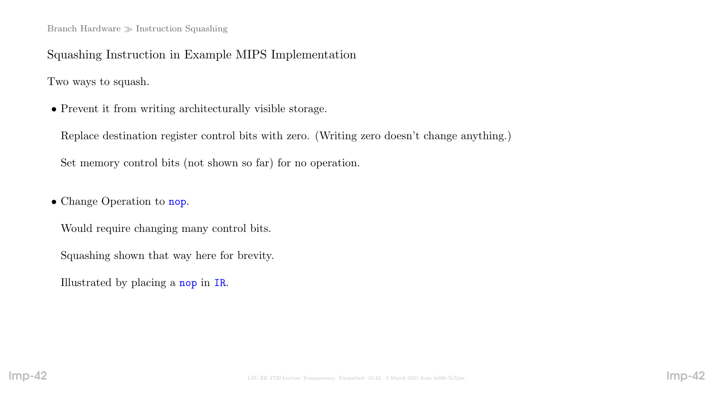Squashing Instruction in Example MIPS Implementation

Two ways to squash.

• Prevent it from writing architecturally visible storage.

Replace destination register control bits with zero. (Writing zero doesn't change anything.)

Set memory control bits (not shown so far) for no operation.

• Change Operation to nop.

Would require changing many control bits.

Squashing shown that way here for brevity.

Illustrated by placing a nop in IR.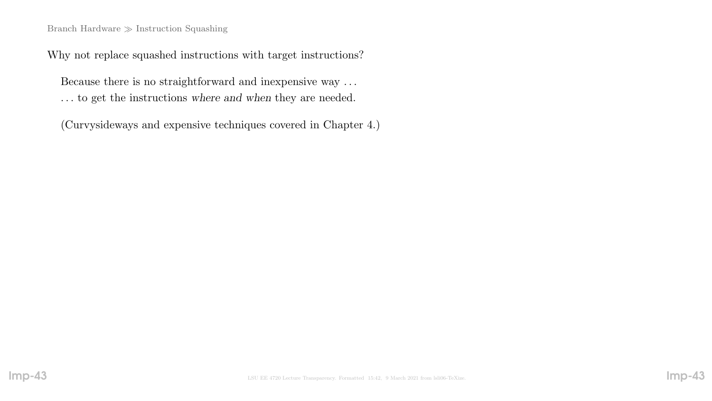#### Branch Hardware  $\gg$  Instruction Squashing

Why not replace squashed instructions with target instructions?

Because there is no straightforward and inexpensive way . . . . . . to get the instructions where and when they are needed.

(Curvysideways and expensive techniques covered in Chapter 4.)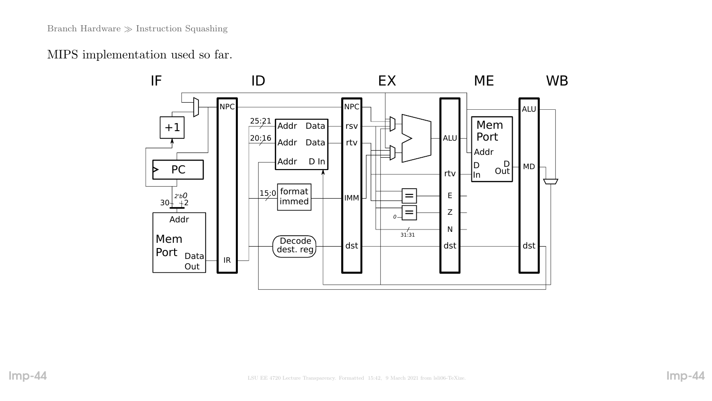MIPS implementation used so far.

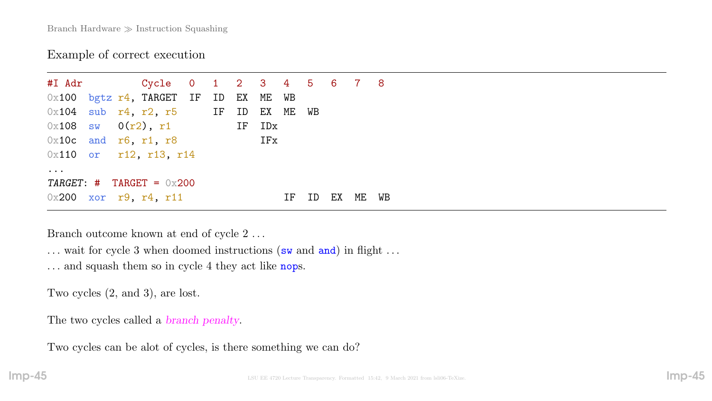### Example of correct execution

#I Adr Cycle 0 1 2 3 4 5 6 7 8 0x100 bgtz r4, TARGET IF ID EX ME WB  $0x104$  sub  $r4$ ,  $r2$ ,  $r5$  IF ID EX ME WB  $0 \times 108$  sw  $0(r2)$ , r1 IF IDx  $0x10c$  and r6, r1, r8 IFx 0x110 or r12, r13, r14 ... TARGET:  $\#$  TARGET = 0x200  $0x200$  xor r9, r4, r11 IF ID EX ME WB

Branch outcome known at end of cycle 2 . . .

... wait for cycle 3 when doomed instructions (sw and and) in flight ...

... and squash them so in cycle 4 they act like nops.

Two cycles (2, and 3), are lost.

The two cycles called a *branch penalty*.

Two cycles can be alot of cycles, is there something we can do?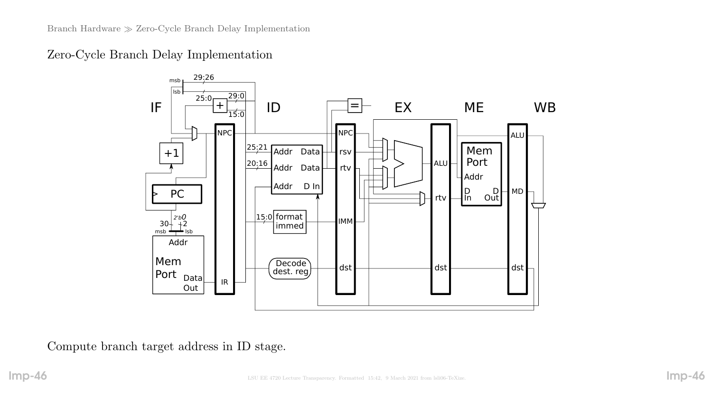Zero-Cycle Branch Delay Implementation



Compute branch target address in ID stage.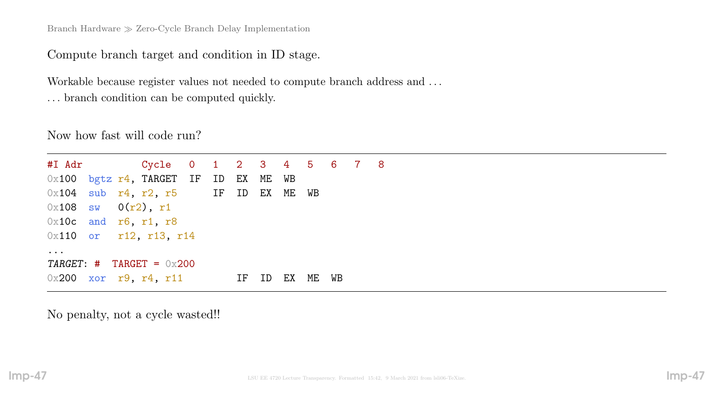Branch Hardware  $\gg$  Zero-Cycle Branch Delay Implementation

Compute branch target and condition in ID stage.

Workable because register values not needed to compute branch address and . . . . . . branch condition can be computed quickly.

Now how fast will code run?

```
#I Adr Cycle 0 1 2 3 4 5 6 7 8
0x100 bgtz r4, TARGET IF ID EX ME WB
0x104 sub r4, r2, r5 IF ID EX ME WB
0x108 sw 0(r2), r1
0x10c and r6, r1, r8
0x110 or r12, r13, r14
...
TARGE: # TARGE = 0 \times 2000x200 xor r9, r4, r11 IF ID EX ME WB
```
No penalty, not a cycle wasted!!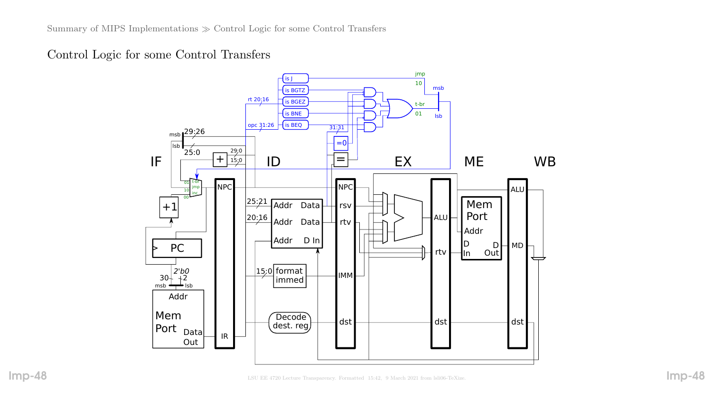Control Logic for some Control Transfers

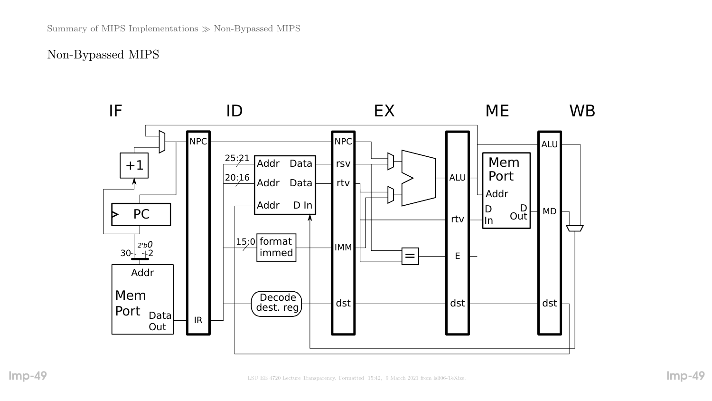## Non-Bypassed MIPS

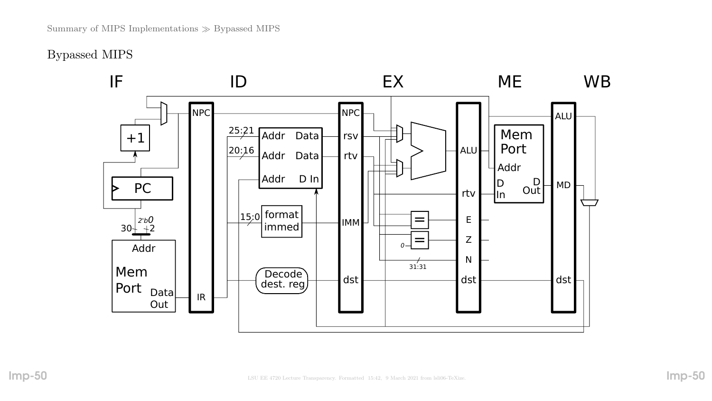Bypassed MIPS